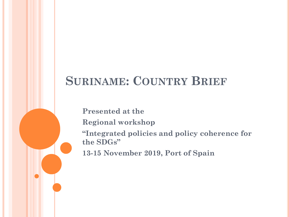#### **SURINAME: COUNTRY BRIEF**

**Presented at the** 

**Regional workshop** 

**"Integrated policies and policy coherence for the SDGs"** 

**13-15 November 2019, Port of Spain**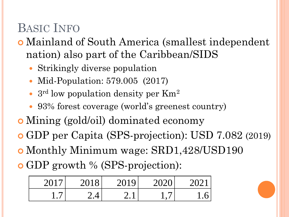### BASIC INFO

 Mainland of South America (smallest independent nation) also part of the Caribbean/SIDS

- Strikingly diverse population
- Mid-Population: 579.005 (2017)
- 3<sup>rd</sup> low population density per Km<sup>2</sup>
- 93% forest coverage (world's greenest country)
- Mining (gold/oil) dominated economy
- GDP per Capita (SPS-projection): USD 7.082 (2019)
- Monthly Minimum wage: SRD1,428/USD190
- GDP growth % (SPS-projection):

| 201       | 201.<br>8 | 2019      | 202f |  |
|-----------|-----------|-----------|------|--|
| <b>1.</b> |           | ∽<br>2. l |      |  |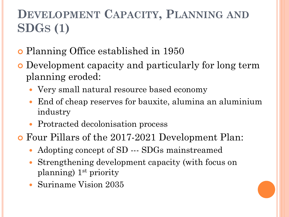# **DEVELOPMENT CAPACITY, PLANNING AND SDGS (1)**

- Planning Office established in 1950
- Development capacity and particularly for long term planning eroded:
	- Very small natural resource based economy
	- End of cheap reserves for bauxite, alumina an aluminium industry
	- Protracted decolonisation process
- Four Pillars of the 2017-2021 Development Plan:
	- Adopting concept of SD --- SDGs mainstreamed
	- Strengthening development capacity (with focus on planning) 1st priority
	- Suriname Vision 2035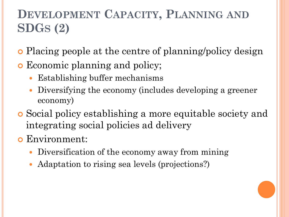# **DEVELOPMENT CAPACITY, PLANNING AND SDGS (2)**

- Placing people at the centre of planning/policy design
- **•** Economic planning and policy;
	- Establishing buffer mechanisms
	- Diversifying the economy (includes developing a greener economy)
- Social policy establishing a more equitable society and integrating social policies ad delivery
- Environment:
	- Diversification of the economy away from mining
	- Adaptation to rising sea levels (projections?)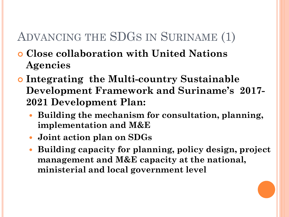### ADVANCING THE SDGS IN SURINAME (1)

- **Close collaboration with United Nations Agencies**
- **Integrating the Multi-country Sustainable Development Framework and Suriname's 2017- 2021 Development Plan:**
	- **Building the mechanism for consultation, planning, implementation and M&E**
	- **Joint action plan on SDGs**
	- **Building capacity for planning, policy design, project management and M&E capacity at the national, ministerial and local government level**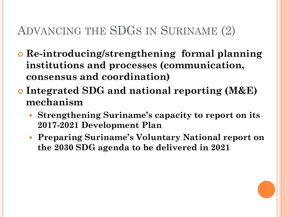## ADVANCING THE SDGS IN SURINAME (2)

- **Re-introducing/strengthening formal planning institutions and processes (communication, consensus and coordination)**
- **Integrated SDG and national reporting (M&E) mechanism** 
	- **Strengthening Suriname's capacity to report on its 2017-2021 Development Plan**
	- **Preparing Suriname's Voluntary National report on the 2030 SDG agenda to be delivered in 2021**